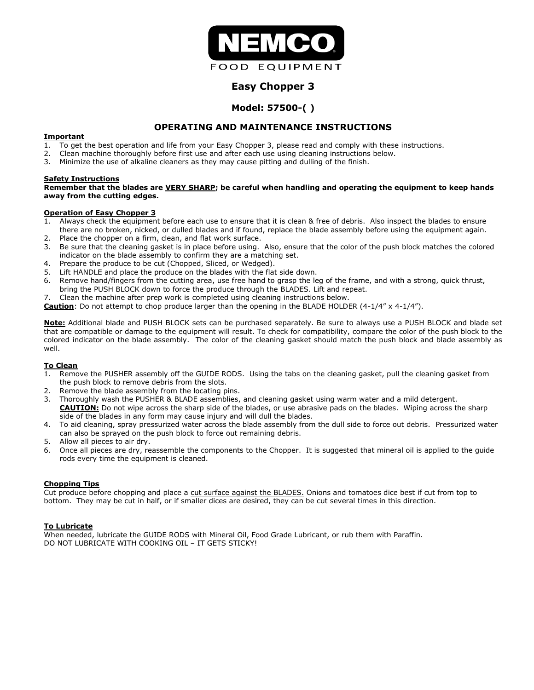

# **Easy Chopper 3**

# **Model: 57500-( )**

# **OPERATING AND MAINTENANCE INSTRUCTIONS**

## **Important**

- 1. To get the best operation and life from your Easy Chopper 3, please read and comply with these instructions.
- 2. Clean machine thoroughly before first use and after each use using cleaning instructions below.
- 3. Minimize the use of alkaline cleaners as they may cause pitting and dulling of the finish.

### **Safety Instructions**

#### **Remember that the blades are VERY SHARP; be careful when handling and operating the equipment to keep hands away from the cutting edges.**

### **Operation of Easy Chopper 3**

- 1. Always check the equipment before each use to ensure that it is clean & free of debris. Also inspect the blades to ensure there are no broken, nicked, or dulled blades and if found, replace the blade assembly before using the equipment again.
- 2. Place the chopper on a firm, clean, and flat work surface.
- 3. Be sure that the cleaning gasket is in place before using. Also, ensure that the color of the push block matches the colored indicator on the blade assembly to confirm they are a matching set.
- 4. Prepare the produce to be cut (Chopped, Sliced, or Wedged).
- 5. Lift HANDLE and place the produce on the blades with the flat side down.
- 6. Remove hand/fingers from the cutting area, use free hand to grasp the leg of the frame, and with a strong, quick thrust, bring the PUSH BLOCK down to force the produce through the BLADES. Lift and repeat.
- 7. Clean the machine after prep work is completed using cleaning instructions below.

**Caution**: Do not attempt to chop produce larger than the opening in the BLADE HOLDER (4-1/4" x 4-1/4").

**Note:** Additional blade and PUSH BLOCK sets can be purchased separately. Be sure to always use a PUSH BLOCK and blade set that are compatible or damage to the equipment will result. To check for compatibility, compare the color of the push block to the colored indicator on the blade assembly. The color of the cleaning gasket should match the push block and blade assembly as well.

# **To Clean**

- 1. Remove the PUSHER assembly off the GUIDE RODS. Using the tabs on the cleaning gasket, pull the cleaning gasket from the push block to remove debris from the slots.
- Remove the blade assembly from the locating pins.
- 3. Thoroughly wash the PUSHER & BLADE assemblies, and cleaning gasket using warm water and a mild detergent. **CAUTION:** Do not wipe across the sharp side of the blades, or use abrasive pads on the blades. Wiping across the sharp side of the blades in any form may cause injury and will dull the blades.
- 4. To aid cleaning, spray pressurized water across the blade assembly from the dull side to force out debris. Pressurized water can also be sprayed on the push block to force out remaining debris.
- 5. Allow all pieces to air dry.
- 6. Once all pieces are dry, reassemble the components to the Chopper. It is suggested that mineral oil is applied to the guide rods every time the equipment is cleaned.

#### **Chopping Tips**

Cut produce before chopping and place a cut surface against the BLADES. Onions and tomatoes dice best if cut from top to bottom. They may be cut in half, or if smaller dices are desired, they can be cut several times in this direction.

#### **To Lubricate**

When needed, lubricate the GUIDE RODS with Mineral Oil, Food Grade Lubricant, or rub them with Paraffin. DO NOT LUBRICATE WITH COOKING OIL – IT GETS STICKY!